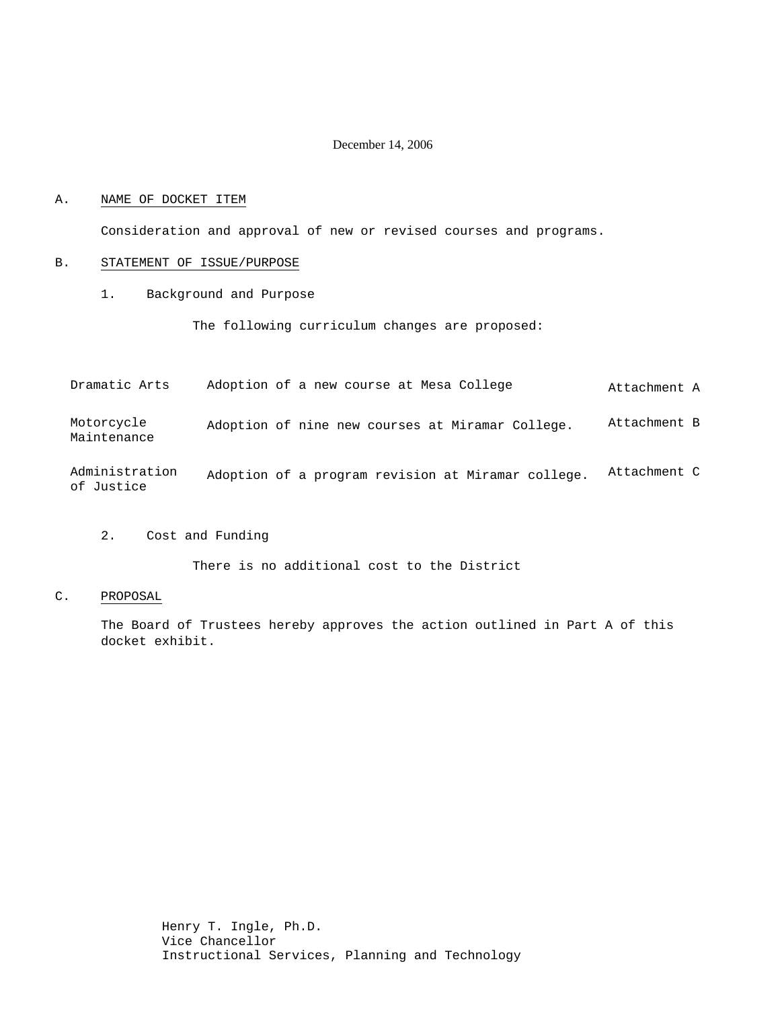#### December 14, 2006

#### A. NAME OF DOCKET ITEM

Consideration and approval of new or revised courses and programs.

#### B. STATEMENT OF ISSUE/PURPOSE

1. Background and Purpose

The following curriculum changes are proposed:

Dramatic Arts Adoption of a new course at Mesa College  $A$ ttachment A

Motorcycle Maintenance Adoption of nine new courses at Miramar College. Attachment B

Administration of Justice Adoption of a program revision at Miramar college. Attachment C

2. Cost and Funding

There is no additional cost to the District

C. PROPOSAL

The Board of Trustees hereby approves the action outlined in Part A of this docket exhibit.

> Henry T. Ingle, Ph.D. Vice Chancellor Instructional Services, Planning and Technology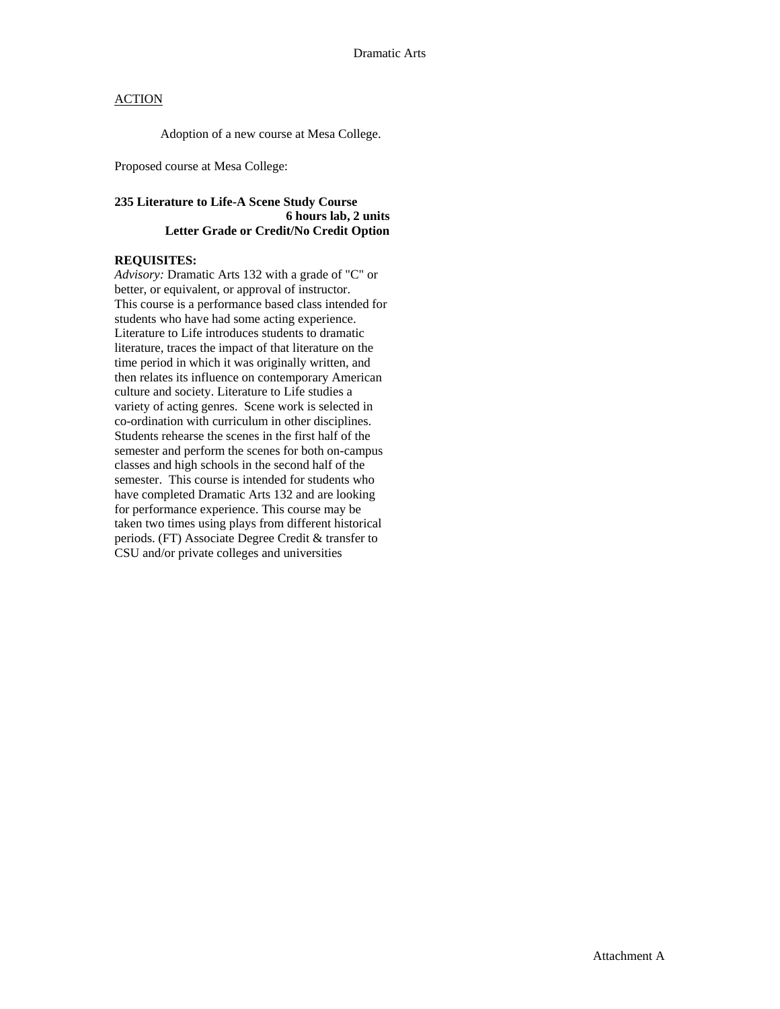### **ACTION**

Adoption of a new course at Mesa College.

Proposed course at Mesa College:

### **235 Literature to Life-A Scene Study Course 6 hours lab, 2 units Letter Grade or Credit/No Credit Option**

## **REQUISITES:**

*Advisory:* Dramatic Arts 132 with a grade of "C" or better, or equivalent, or approval of instructor. This course is a performance based class intended for students who have had some acting experience. Literature to Life introduces students to dramatic literature, traces the impact of that literature on the time period in which it was originally written, and then relates its influence on contemporary American culture and society. Literature to Life studies a variety of acting genres. Scene work is selected in co-ordination with curriculum in other disciplines. Students rehearse the scenes in the first half of the semester and perform the scenes for both on-campus classes and high schools in the second half of the semester. This course is intended for students who have completed Dramatic Arts 132 and are looking for performance experience. This course may be taken two times using plays from different historical periods. (FT) Associate Degree Credit & transfer to CSU and/or private colleges and universities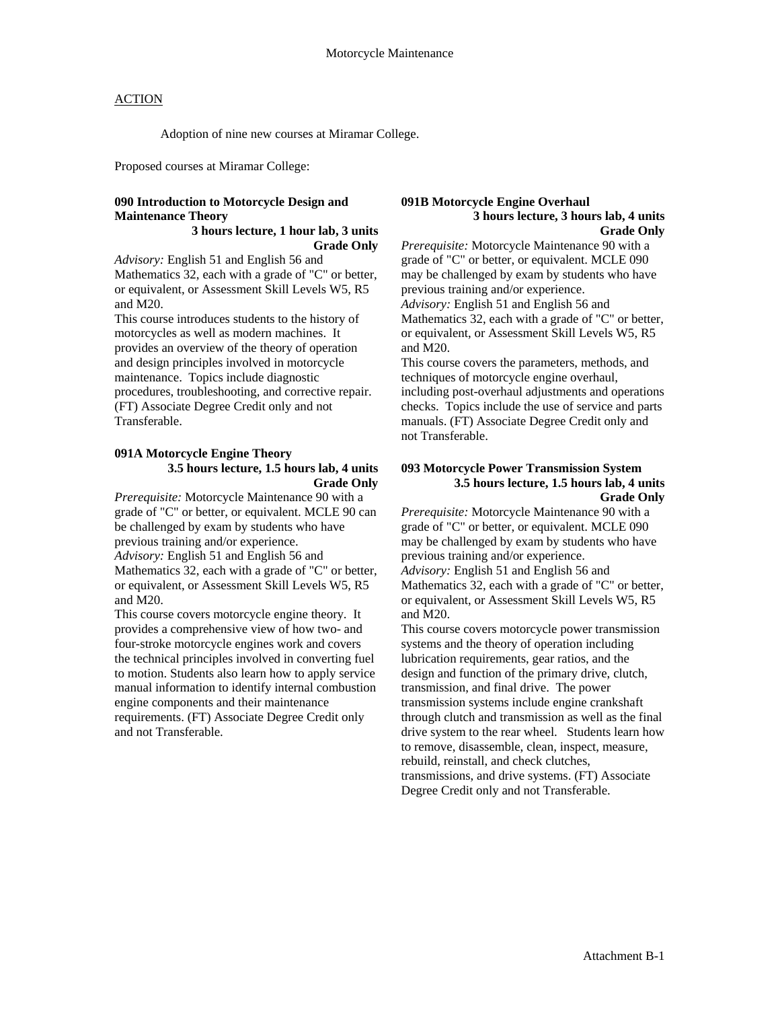### **ACTION**

Adoption of nine new courses at Miramar College.

Proposed courses at Miramar College:

### **090 Introduction to Motorcycle Design and Maintenance Theory**

#### **3 hours lecture, 1 hour lab, 3 units Grade Only**

*Advisory:* English 51 and English 56 and Mathematics 32, each with a grade of "C" or better, or equivalent, or Assessment Skill Levels W5, R5 and M20.

This course introduces students to the history of motorcycles as well as modern machines. It provides an overview of the theory of operation and design principles involved in motorcycle maintenance. Topics include diagnostic procedures, troubleshooting, and corrective repair. (FT) Associate Degree Credit only and not Transferable.

#### **091A Motorcycle Engine Theory 3.5 hours lecture, 1.5 hours lab, 4 units Grade Only**

*Prerequisite:* Motorcycle Maintenance 90 with a grade of "C" or better, or equivalent. MCLE 90 can be challenged by exam by students who have previous training and/or experience. *Advisory:* English 51 and English 56 and Mathematics 32, each with a grade of "C" or better, or equivalent, or Assessment Skill Levels W5, R5 and M20.

This course covers motorcycle engine theory. It provides a comprehensive view of how two- and four-stroke motorcycle engines work and covers the technical principles involved in converting fuel to motion. Students also learn how to apply service manual information to identify internal combustion engine components and their maintenance requirements. (FT) Associate Degree Credit only and not Transferable.

#### **091B Motorcycle Engine Overhaul 3 hours lecture, 3 hours lab, 4 units Grade Only**

*Prerequisite:* Motorcycle Maintenance 90 with a grade of "C" or better, or equivalent. MCLE 090 may be challenged by exam by students who have previous training and/or experience. *Advisory:* English 51 and English 56 and Mathematics 32, each with a grade of "C" or better, or equivalent, or Assessment Skill Levels W5, R5 and M20.

This course covers the parameters, methods, and techniques of motorcycle engine overhaul, including post-overhaul adjustments and operations checks. Topics include the use of service and parts manuals. (FT) Associate Degree Credit only and not Transferable.

#### **093 Motorcycle Power Transmission System 3.5 hours lecture, 1.5 hours lab, 4 units Grade Only**

*Prerequisite:* Motorcycle Maintenance 90 with a grade of "C" or better, or equivalent. MCLE 090 may be challenged by exam by students who have previous training and/or experience. *Advisory:* English 51 and English 56 and Mathematics 32, each with a grade of "C" or better, or equivalent, or Assessment Skill Levels W5, R5 and M20.

This course covers motorcycle power transmission systems and the theory of operation including lubrication requirements, gear ratios, and the design and function of the primary drive, clutch, transmission, and final drive. The power transmission systems include engine crankshaft through clutch and transmission as well as the final drive system to the rear wheel. Students learn how to remove, disassemble, clean, inspect, measure, rebuild, reinstall, and check clutches, transmissions, and drive systems. (FT) Associate Degree Credit only and not Transferable.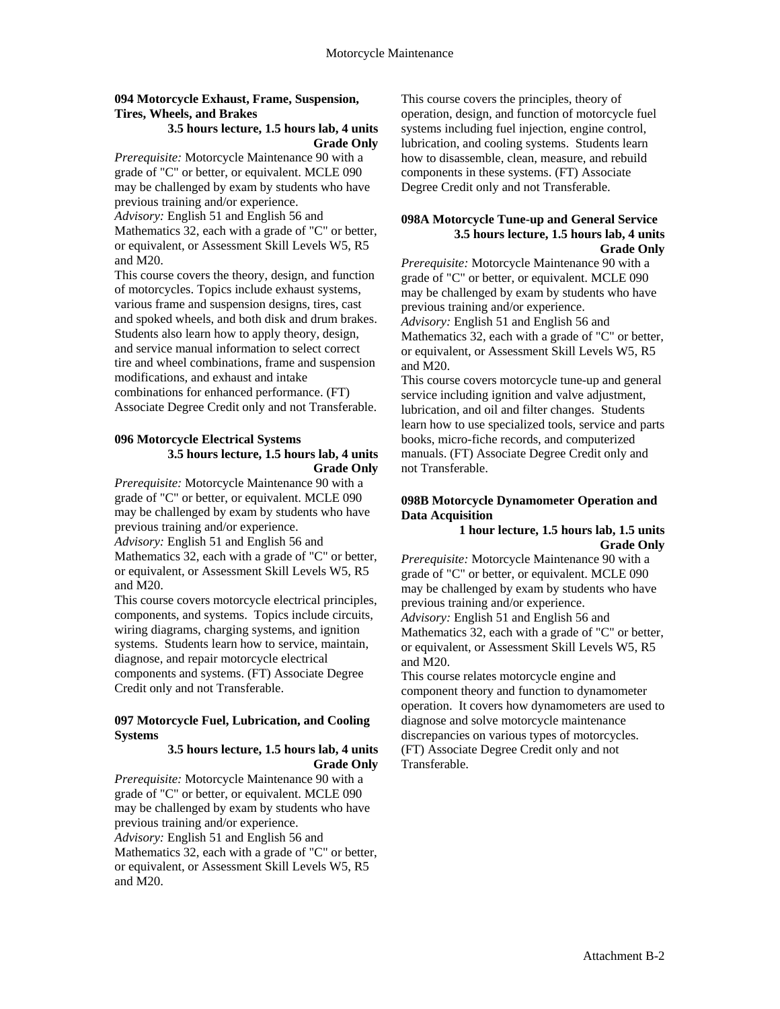### **094 Motorcycle Exhaust, Frame, Suspension, Tires, Wheels, and Brakes**

### **3.5 hours lecture, 1.5 hours lab, 4 units Grade Only**

*Prerequisite:* Motorcycle Maintenance 90 with a grade of "C" or better, or equivalent. MCLE 090 may be challenged by exam by students who have previous training and/or experience. *Advisory:* English 51 and English 56 and Mathematics 32, each with a grade of "C" or better, or equivalent, or Assessment Skill Levels W5, R5 and M20.

This course covers the theory, design, and function of motorcycles. Topics include exhaust systems, various frame and suspension designs, tires, cast and spoked wheels, and both disk and drum brakes. Students also learn how to apply theory, design, and service manual information to select correct tire and wheel combinations, frame and suspension modifications, and exhaust and intake combinations for enhanced performance. (FT) Associate Degree Credit only and not Transferable.

#### **096 Motorcycle Electrical Systems 3.5 hours lecture, 1.5 hours lab, 4 units Grade Only**

*Prerequisite:* Motorcycle Maintenance 90 with a grade of "C" or better, or equivalent. MCLE 090 may be challenged by exam by students who have previous training and/or experience. *Advisory:* English 51 and English 56 and Mathematics 32, each with a grade of "C" or better, or equivalent, or Assessment Skill Levels W5, R5 and M20.

This course covers motorcycle electrical principles, components, and systems. Topics include circuits, wiring diagrams, charging systems, and ignition systems. Students learn how to service, maintain, diagnose, and repair motorcycle electrical components and systems. (FT) Associate Degree Credit only and not Transferable.

### **097 Motorcycle Fuel, Lubrication, and Cooling Systems**

### **3.5 hours lecture, 1.5 hours lab, 4 units Grade Only**

*Prerequisite:* Motorcycle Maintenance 90 with a grade of "C" or better, or equivalent. MCLE 090 may be challenged by exam by students who have previous training and/or experience. *Advisory:* English 51 and English 56 and Mathematics 32, each with a grade of "C" or better, or equivalent, or Assessment Skill Levels W5, R5 and M20.

This course covers the principles, theory of operation, design, and function of motorcycle fuel systems including fuel injection, engine control, lubrication, and cooling systems. Students learn how to disassemble, clean, measure, and rebuild components in these systems. (FT) Associate Degree Credit only and not Transferable.

#### **098A Motorcycle Tune-up and General Service 3.5 hours lecture, 1.5 hours lab, 4 units Grade Only**

*Prerequisite:* Motorcycle Maintenance 90 with a grade of "C" or better, or equivalent. MCLE 090 may be challenged by exam by students who have previous training and/or experience. *Advisory:* English 51 and English 56 and Mathematics 32, each with a grade of "C" or better, or equivalent, or Assessment Skill Levels W5, R5 and M20.

This course covers motorcycle tune-up and general service including ignition and valve adjustment, lubrication, and oil and filter changes. Students learn how to use specialized tools, service and parts books, micro-fiche records, and computerized manuals. (FT) Associate Degree Credit only and not Transferable.

## **098B Motorcycle Dynamometer Operation and Data Acquisition**

**1 hour lecture, 1.5 hours lab, 1.5 units Grade Only** 

*Prerequisite:* Motorcycle Maintenance 90 with a grade of "C" or better, or equivalent. MCLE 090 may be challenged by exam by students who have previous training and/or experience. *Advisory:* English 51 and English 56 and Mathematics 32, each with a grade of "C" or better, or equivalent, or Assessment Skill Levels W5, R5 and M20.

This course relates motorcycle engine and component theory and function to dynamometer operation. It covers how dynamometers are used to diagnose and solve motorcycle maintenance discrepancies on various types of motorcycles. (FT) Associate Degree Credit only and not Transferable.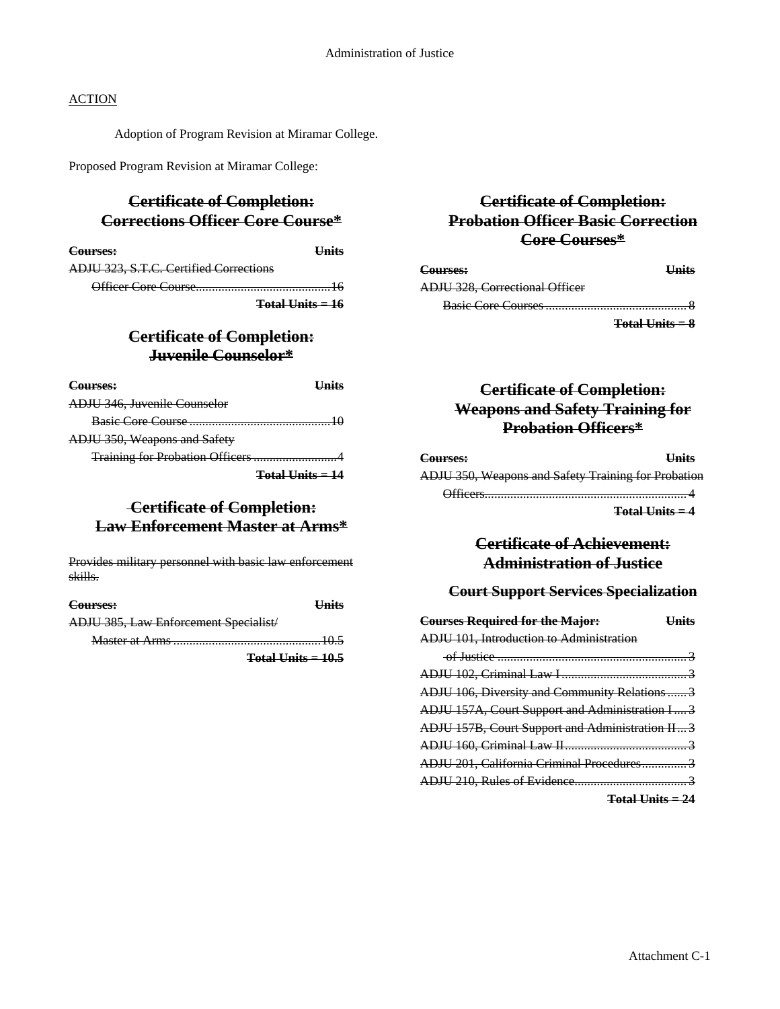## **ACTION**

Adoption of Program Revision at Miramar College.

Proposed Program Revision at Miramar College:

## **Certificate of Completion: Corrections Officer Core Course\***

| Courses:                               | Units |
|----------------------------------------|-------|
| ADJU 323, S.T.C. Certified Corrections |       |
|                                        |       |

**Total Units = 16**

## **Certificate of Completion: Juvenile Counselor\***

| Courses:                        |                                                                   |
|---------------------------------|-------------------------------------------------------------------|
| ADJU 346, Juvenile Counselor    |                                                                   |
|                                 |                                                                   |
| ADJU 350, Weapons and Safety    |                                                                   |
| Training for Probation Officers |                                                                   |
|                                 | $\begin{array}{c} \textbf{Total} \textbf{Inits} = 14 \end{array}$ |

## **Certificate of Completion: Law Enforcement Master at Arms\***

Provides military personnel with basic law enforcement skills.

| Courses:                                     | <b>Units</b>         |
|----------------------------------------------|----------------------|
| <b>ADJU 385, Law Enforcement Specialist/</b> |                      |
|                                              |                      |
|                                              | $Total Units = 10.5$ |

## **Certificate of Completion: Probation Officer Basic Correction Core Courses\***

| Courses:                              | <b>Units</b>      |
|---------------------------------------|-------------------|
| <b>ADJU 328, Correctional Officer</b> |                   |
|                                       |                   |
|                                       | $Total Units = 8$ |

## **Certificate of Completion: Weapons and Safety Training for Probation Officers\***

| Courses:                                            | <b>Units</b> |
|-----------------------------------------------------|--------------|
| ADJU 350, Weapons and Safety Training for Probation |              |
| ∩fficare                                            |              |

**Total Units = 4**

## **Certificate of Achievement: Administration of Justice**

## **Court Support Services Specialization**

| <b>Courses Required for the Major:</b>          | <b>Units</b> |
|-------------------------------------------------|--------------|
| ADJU 101, Introduction to Administration        |              |
|                                                 |              |
|                                                 |              |
| ADJU 106, Diversity and Community Relations  3  |              |
| ADJU 157A, Court Support and Administration I 3 |              |
| ADJU 157B, Court Support and Administration II3 |              |
|                                                 |              |
| ADJU 201, California Criminal Procedures 3      |              |
|                                                 |              |
| $\mathbf{m}$ and $\mathbf{r}$ and $\mathbf{r}$  |              |

**Total Units = 24**